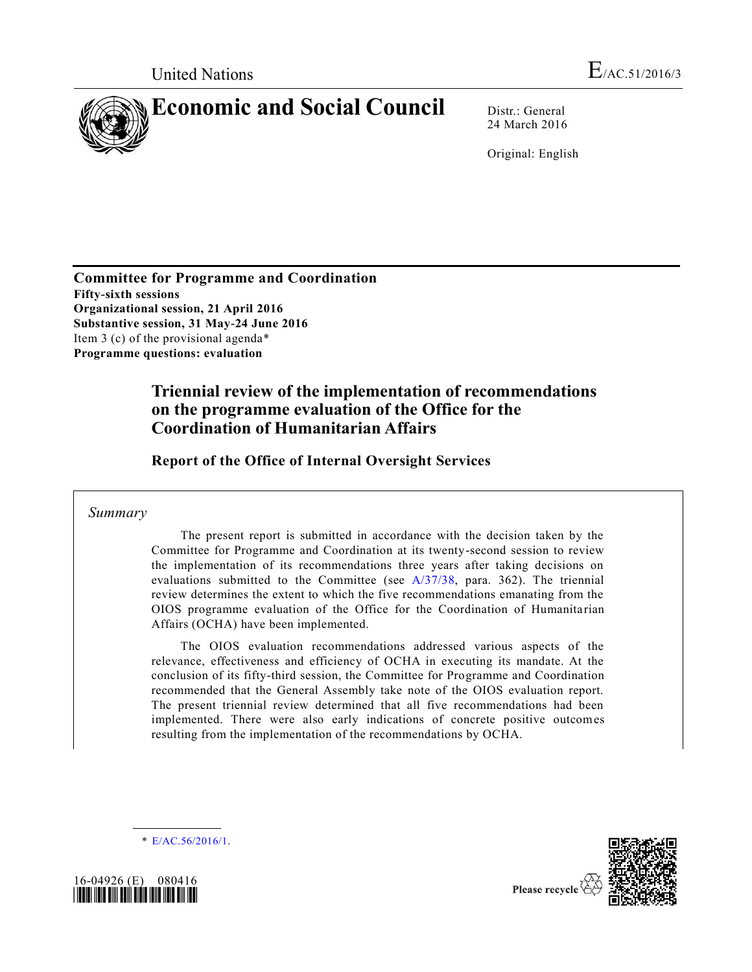

24 March 2016

Original: English

**Committee for Programme and Coordination Fifty-sixth sessions Organizational session, 21 April 2016 Substantive session, 31 May-24 June 2016**  Item 3 (c) of the provisional agenda\* **Programme questions: evaluation**

# **Triennial review of the implementation of recommendations on the programme evaluation of the Office for the Coordination of Humanitarian Affairs**

**Report of the Office of Internal Oversight Services**

## *Summary*

The present report is submitted in accordance with the decision taken by the Committee for Programme and Coordination at its twenty-second session to review the implementation of its recommendations three years after taking decisions on evaluations submitted to the Committee (see [A/37/38,](http://undocs.org/A/37/38) para. 362). The triennial review determines the extent to which the five recommendations emanating from the OIOS programme evaluation of the Office for the Coordination of Humanita rian Affairs (OCHA) have been implemented.

The OIOS evaluation recommendations addressed various aspects of the relevance, effectiveness and efficiency of OCHA in executing its mandate. At the conclusion of its fifty-third session, the Committee for Programme and Coordination recommended that the General Assembly take note of the OIOS evaluation report. The present triennial review determined that all five recommendations had been implemented. There were also early indications of concrete positive outcomes resulting from the implementation of the recommendations by OCHA.

\* [E/AC.56/2016/1.](http://undocs.org/E/AC.56/2016/1)





Please recycle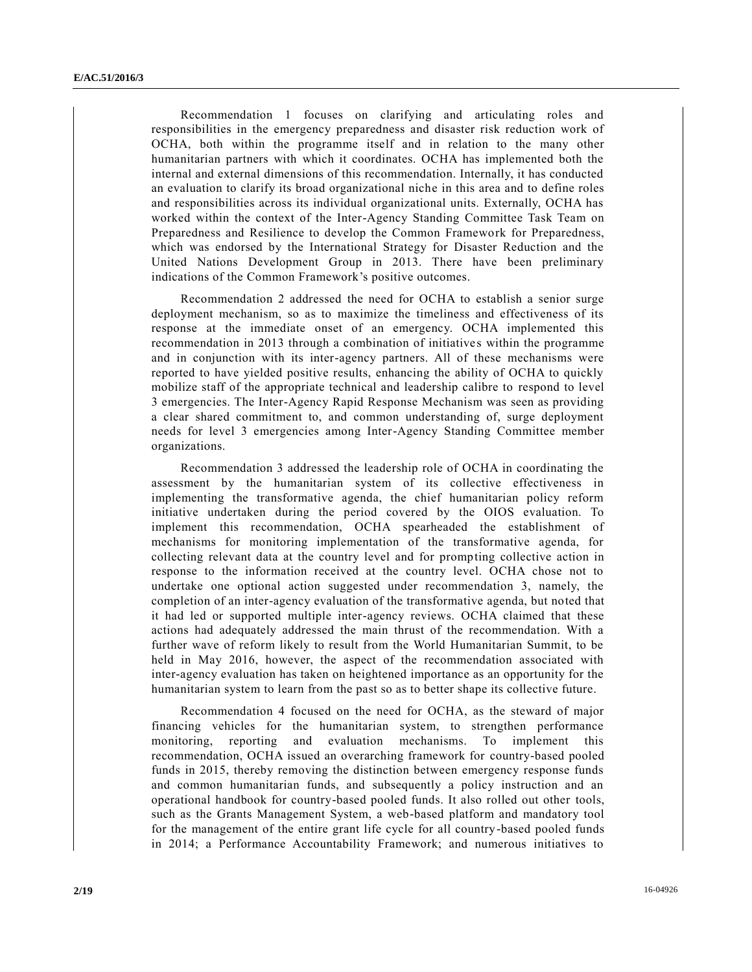Recommendation 1 focuses on clarifying and articulating roles and responsibilities in the emergency preparedness and disaster risk reduction work of OCHA, both within the programme itself and in relation to the many other humanitarian partners with which it coordinates. OCHA has implemented both the internal and external dimensions of this recommendation. Internally, it has conducted an evaluation to clarify its broad organizational niche in this area and to define roles and responsibilities across its individual organizational units. Externally, OCHA has worked within the context of the Inter-Agency Standing Committee Task Team on Preparedness and Resilience to develop the Common Framework for Preparedness, which was endorsed by the International Strategy for Disaster Reduction and the United Nations Development Group in 2013. There have been preliminary indications of the Common Framework's positive outcomes.

Recommendation 2 addressed the need for OCHA to establish a senior surge deployment mechanism, so as to maximize the timeliness and effectiveness of its response at the immediate onset of an emergency. OCHA implemented this recommendation in 2013 through a combination of initiatives within the programme and in conjunction with its inter-agency partners. All of these mechanisms were reported to have yielded positive results, enhancing the ability of OCHA to quickly mobilize staff of the appropriate technical and leadership calibre to respond to level 3 emergencies. The Inter-Agency Rapid Response Mechanism was seen as providing a clear shared commitment to, and common understanding of, surge deployment needs for level 3 emergencies among Inter-Agency Standing Committee member organizations.

Recommendation 3 addressed the leadership role of OCHA in coordinating the assessment by the humanitarian system of its collective effectiveness in implementing the transformative agenda, the chief humanitarian policy reform initiative undertaken during the period covered by the OIOS evaluation. To implement this recommendation, OCHA spearheaded the establishment of mechanisms for monitoring implementation of the transformative agenda, for collecting relevant data at the country level and for prompting collective action in response to the information received at the country level. OCHA chose not to undertake one optional action suggested under recommendation 3, namely, the completion of an inter-agency evaluation of the transformative agenda, but noted that it had led or supported multiple inter-agency reviews. OCHA claimed that these actions had adequately addressed the main thrust of the recommendation. With a further wave of reform likely to result from the World Humanitarian Summit, to be held in May 2016, however, the aspect of the recommendation associated with inter-agency evaluation has taken on heightened importance as an opportunity for the humanitarian system to learn from the past so as to better shape its collective future.

Recommendation 4 focused on the need for OCHA, as the steward of major financing vehicles for the humanitarian system, to strengthen performance monitoring, reporting and evaluation mechanisms. To implement this recommendation, OCHA issued an overarching framework for country-based pooled funds in 2015, thereby removing the distinction between emergency response funds and common humanitarian funds, and subsequently a policy instruction and an operational handbook for country-based pooled funds. It also rolled out other tools, such as the Grants Management System, a web-based platform and mandatory tool for the management of the entire grant life cycle for all country-based pooled funds in 2014; a Performance Accountability Framework; and numerous initiatives to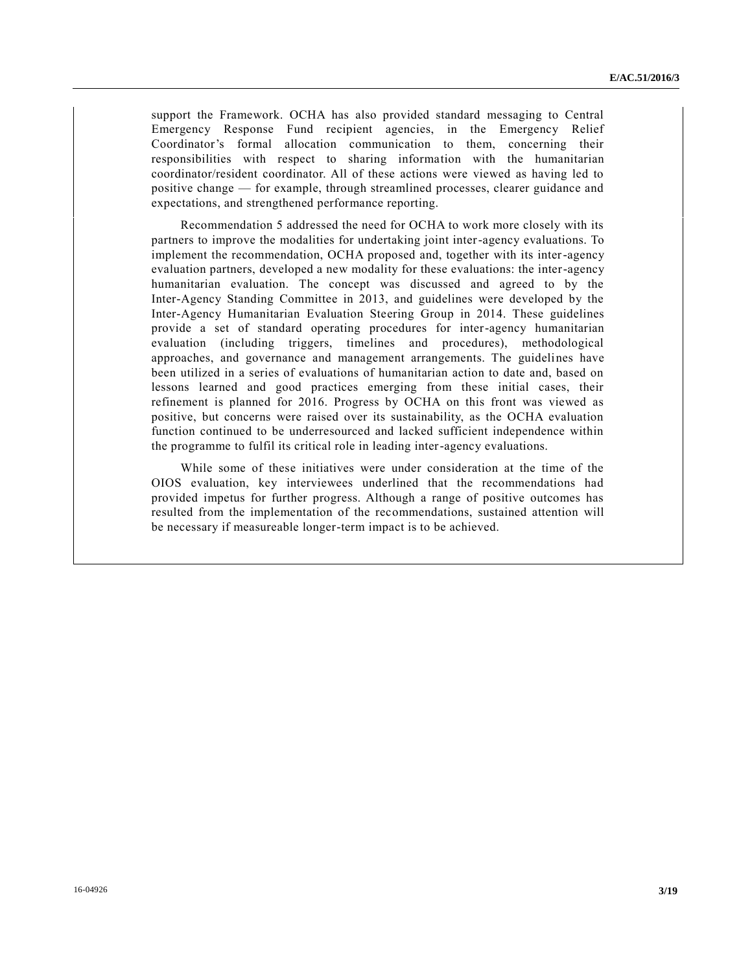support the Framework. OCHA has also provided standard messaging to Central Emergency Response Fund recipient agencies, in the Emergency Relief Coordinator's formal allocation communication to them, concerning their responsibilities with respect to sharing information with the humanitarian coordinator/resident coordinator. All of these actions were viewed as having led to positive change — for example, through streamlined processes, clearer guidance and expectations, and strengthened performance reporting.

Recommendation 5 addressed the need for OCHA to work more closely with its partners to improve the modalities for undertaking joint inter-agency evaluations. To implement the recommendation, OCHA proposed and, together with its inter-agency evaluation partners, developed a new modality for these evaluations: the inter-agency humanitarian evaluation. The concept was discussed and agreed to by the Inter-Agency Standing Committee in 2013, and guidelines were developed by the Inter-Agency Humanitarian Evaluation Steering Group in 2014. These guidelines provide a set of standard operating procedures for inter-agency humanitarian evaluation (including triggers, timelines and procedures), methodological approaches, and governance and management arrangements. The guidelines have been utilized in a series of evaluations of humanitarian action to date and, based on lessons learned and good practices emerging from these initial cases, their refinement is planned for 2016. Progress by OCHA on this front was viewed as positive, but concerns were raised over its sustainability, as the OCHA evaluation function continued to be underresourced and lacked sufficient independence within the programme to fulfil its critical role in leading inter-agency evaluations.

While some of these initiatives were under consideration at the time of the OIOS evaluation, key interviewees underlined that the recommendations had provided impetus for further progress. Although a range of positive outcomes has resulted from the implementation of the recommendations, sustained attention will be necessary if measureable longer-term impact is to be achieved.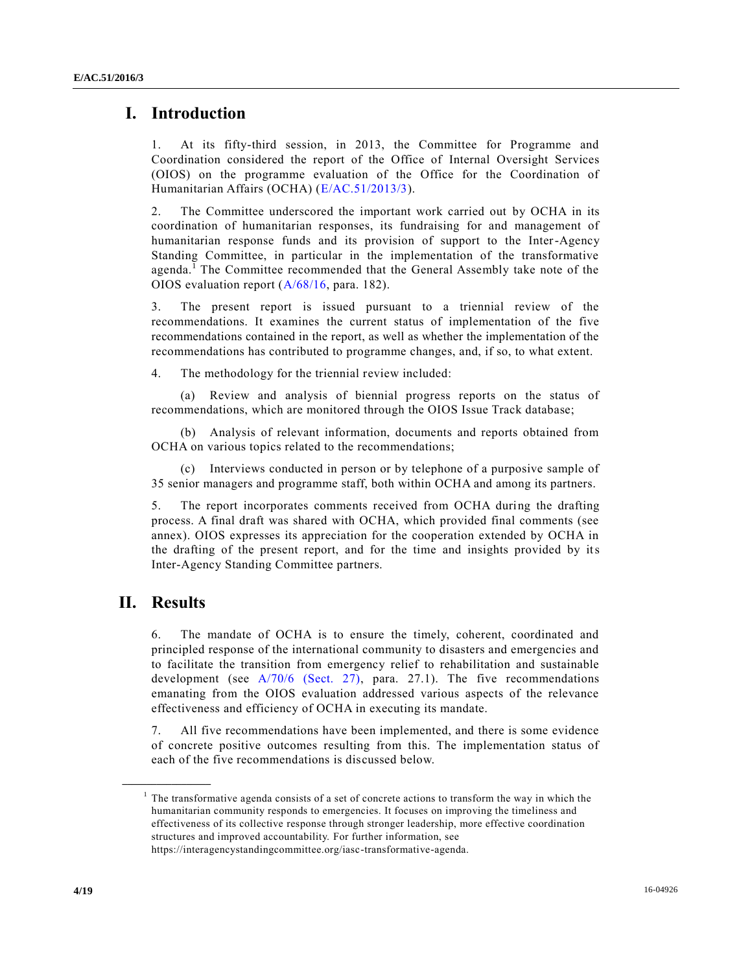## **I. Introduction**

1. At its fifty-third session, in 2013, the Committee for Programme and Coordination considered the report of the Office of Internal Oversight Services (OIOS) on the programme evaluation of the Office for the Coordination of Humanitarian Affairs (OCHA) [\(E/AC.51/2013/3\)](http://undocs.org/E/AC.51/2013/3).

2. The Committee underscored the important work carried out by OCHA in its coordination of humanitarian responses, its fundraising for and management of humanitarian response funds and its provision of support to the Inter-Agency Standing Committee, in particular in the implementation of the transformative agenda.<sup>1</sup> The Committee recommended that the General Assembly take note of the OIOS evaluation report [\(A/68/16,](http://undocs.org/A/68/16) para. 182).

3. The present report is issued pursuant to a triennial review of the recommendations. It examines the current status of implementation of the five recommendations contained in the report, as well as whether the implementation of the recommendations has contributed to programme changes, and, if so, to what extent.

4. The methodology for the triennial review included:

(a) Review and analysis of biennial progress reports on the status of recommendations, which are monitored through the OIOS Issue Track database;

(b) Analysis of relevant information, documents and reports obtained from OCHA on various topics related to the recommendations;

(c) Interviews conducted in person or by telephone of a purposive sample of 35 senior managers and programme staff, both within OCHA and among its partners.

5. The report incorporates comments received from OCHA during the drafting process. A final draft was shared with OCHA, which provided final comments (see annex). OIOS expresses its appreciation for the cooperation extended by OCHA in the drafting of the present report, and for the time and insights provided by its Inter-Agency Standing Committee partners.

## **II. Results**

**\_\_\_\_\_\_\_\_\_\_\_\_\_\_\_\_\_\_**

6. The mandate of OCHA is to ensure the timely, coherent, coordinated and principled response of the international community to disasters and emergencies and to facilitate the transition from emergency relief to rehabilitation and sustainable development (see [A/70/6 \(Sect. 27\),](http://undocs.org/A/70/6(Sect.27)) para. 27.1). The five recommendations emanating from the OIOS evaluation addressed various aspects of the relevance effectiveness and efficiency of OCHA in executing its mandate.

7. All five recommendations have been implemented, and there is some evidence of concrete positive outcomes resulting from this. The implementation status of each of the five recommendations is discussed below.

<sup>&</sup>lt;sup>1</sup> The transformative agenda consists of a set of concrete actions to transform the way in which the humanitarian community responds to emergencies. It focuses on improving the timeliness and effectiveness of its collective response through stronger leadership, more effective coordination structures and improved accountability. For further information, see https://interagencystandingcommittee.org/iasc-transformative-agenda.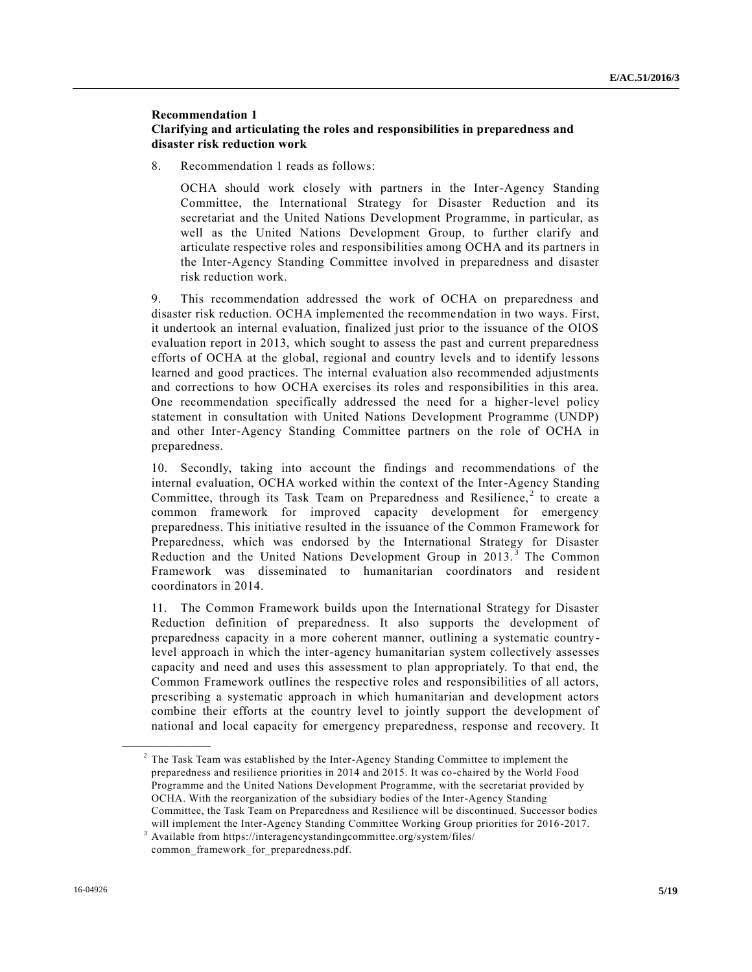## **Recommendation 1 Clarifying and articulating the roles and responsibilities in preparedness and disaster risk reduction work**

8. Recommendation 1 reads as follows:

OCHA should work closely with partners in the Inter-Agency Standing Committee, the International Strategy for Disaster Reduction and its secretariat and the United Nations Development Programme, in particular, as well as the United Nations Development Group, to further clarify and articulate respective roles and responsibilities among OCHA and its partners in the Inter-Agency Standing Committee involved in preparedness and disaster risk reduction work.

9. This recommendation addressed the work of OCHA on preparedness and disaster risk reduction. OCHA implemented the recommendation in two ways. First, it undertook an internal evaluation, finalized just prior to the issuance of the OIOS evaluation report in 2013, which sought to assess the past and current preparedness efforts of OCHA at the global, regional and country levels and to identify lessons learned and good practices. The internal evaluation also recommended adjustments and corrections to how OCHA exercises its roles and responsibilities in this area. One recommendation specifically addressed the need for a higher-level policy statement in consultation with United Nations Development Programme (UNDP) and other Inter-Agency Standing Committee partners on the role of OCHA in preparedness.

10. Secondly, taking into account the findings and recommendations of the internal evaluation, OCHA worked within the context of the Inter-Agency Standing Committee, through its Task Team on Preparedness and Resilience,<sup>2</sup> to create a common framework for improved capacity development for emergency preparedness. This initiative resulted in the issuance of the Common Framework for Preparedness, which was endorsed by the International Strategy for Disaster Reduction and the United Nations Development Group in 2013.<sup>3</sup> The Common Framework was disseminated to humanitarian coordinators and resident coordinators in 2014.

11. The Common Framework builds upon the International Strategy for Disaster Reduction definition of preparedness. It also supports the development of preparedness capacity in a more coherent manner, outlining a systematic countrylevel approach in which the inter-agency humanitarian system collectively assesses capacity and need and uses this assessment to plan appropriately. To that end, the Common Framework outlines the respective roles and responsibilities of all actors, prescribing a systematic approach in which humanitarian and development actors combine their efforts at the country level to jointly support the development of national and local capacity for emergency preparedness, response and recovery. It

 $2^2$  The Task Team was established by the Inter-Agency Standing Committee to implement the preparedness and resilience priorities in 2014 and 2015. It was co-chaired by the World Food Programme and the United Nations Development Programme, with the secretariat provided by OCHA. With the reorganization of the subsidiary bodies of the Inter-Agency Standing Committee, the Task Team on Preparedness and Resilience will be discontinued. Successor bodies will implement the Inter-Agency Standing Committee Working Group priorities for 2016-2017. Available from https://interagencystandingcommittee.org/system/files/

common framework for preparedness.pdf.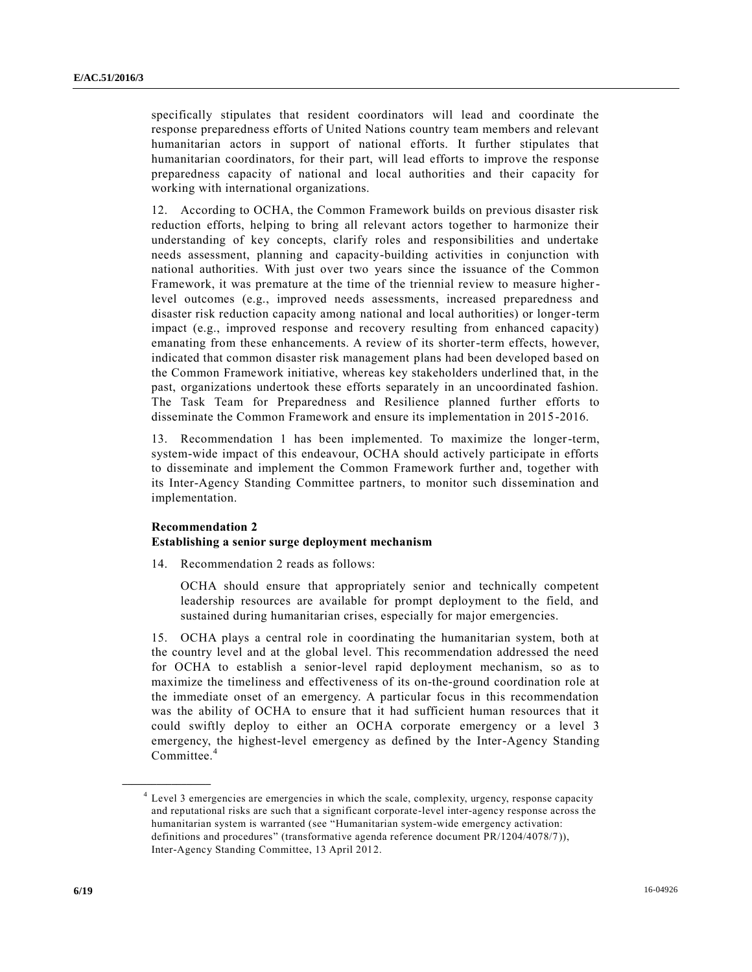specifically stipulates that resident coordinators will lead and coordinate the response preparedness efforts of United Nations country team members and relevant humanitarian actors in support of national efforts. It further stipulates that humanitarian coordinators, for their part, will lead efforts to improve the response preparedness capacity of national and local authorities and their capacity for working with international organizations.

12. According to OCHA, the Common Framework builds on previous disaster risk reduction efforts, helping to bring all relevant actors together to harmonize their understanding of key concepts, clarify roles and responsibilities and undertake needs assessment, planning and capacity-building activities in conjunction with national authorities. With just over two years since the issuance of the Common Framework, it was premature at the time of the triennial review to measure higherlevel outcomes (e.g., improved needs assessments, increased preparedness and disaster risk reduction capacity among national and local authorities) or longer-term impact (e.g., improved response and recovery resulting from enhanced capacity) emanating from these enhancements. A review of its shorter-term effects, however, indicated that common disaster risk management plans had been developed based on the Common Framework initiative, whereas key stakeholders underlined that, in the past, organizations undertook these efforts separately in an uncoordinated fashion. The Task Team for Preparedness and Resilience planned further efforts to disseminate the Common Framework and ensure its implementation in 2015-2016.

13. Recommendation 1 has been implemented. To maximize the longer-term, system-wide impact of this endeavour, OCHA should actively participate in efforts to disseminate and implement the Common Framework further and, together with its Inter-Agency Standing Committee partners, to monitor such dissemination and implementation.

#### **Recommendation 2**

**\_\_\_\_\_\_\_\_\_\_\_\_\_\_\_\_\_\_**

#### **Establishing a senior surge deployment mechanism**

14. Recommendation 2 reads as follows:

OCHA should ensure that appropriately senior and technically competent leadership resources are available for prompt deployment to the field, and sustained during humanitarian crises, especially for major emergencies.

15. OCHA plays a central role in coordinating the humanitarian system, both at the country level and at the global level. This recommendation addressed the need for OCHA to establish a senior-level rapid deployment mechanism, so as to maximize the timeliness and effectiveness of its on-the-ground coordination role at the immediate onset of an emergency. A particular focus in this recommendation was the ability of OCHA to ensure that it had sufficient human resources that it could swiftly deploy to either an OCHA corporate emergency or a level 3 emergency, the highest-level emergency as defined by the Inter-Agency Standing Committee.<sup>4</sup>

<sup>4</sup> Level 3 emergencies are emergencies in which the scale, complexity, urgency, response capacity and reputational risks are such that a significant corporate-level inter-agency response across the humanitarian system is warranted (see "Humanitarian system-wide emergency activation: definitions and procedures" (transformative agenda reference document PR/1204/4078/7)), Inter-Agency Standing Committee, 13 April 2012.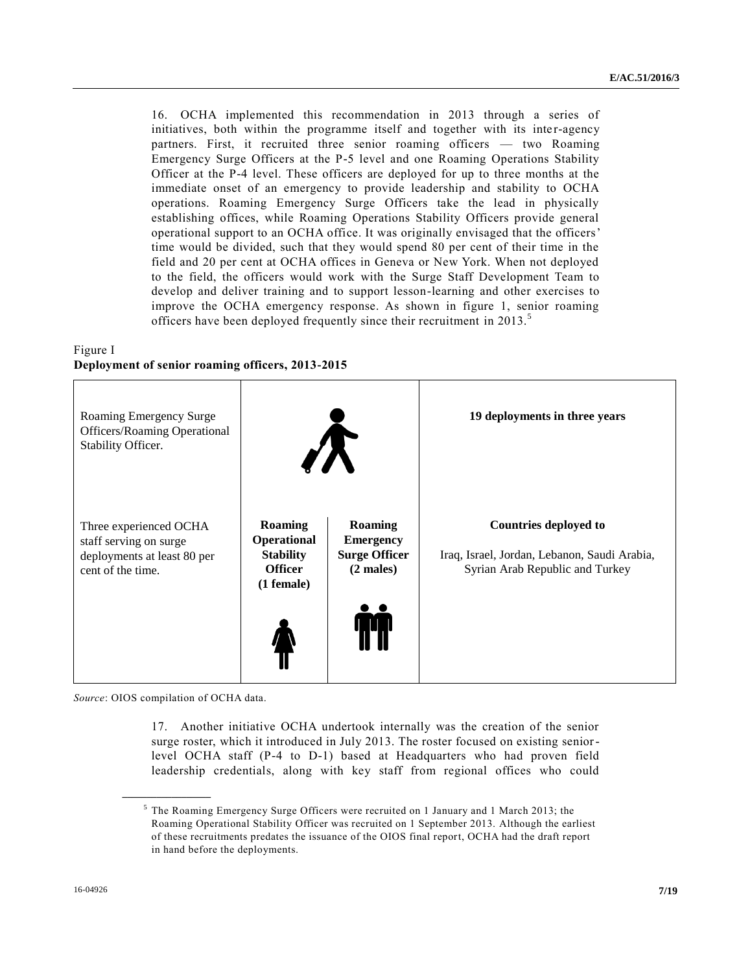16. OCHA implemented this recommendation in 2013 through a series of initiatives, both within the programme itself and together with its inter-agency partners. First, it recruited three senior roaming officers — two Roaming Emergency Surge Officers at the P-5 level and one Roaming Operations Stability Officer at the P-4 level. These officers are deployed for up to three months at the immediate onset of an emergency to provide leadership and stability to OCHA operations. Roaming Emergency Surge Officers take the lead in physically establishing offices, while Roaming Operations Stability Officers provide general operational support to an OCHA office. It was originally envisaged that the officers' time would be divided, such that they would spend 80 per cent of their time in the field and 20 per cent at OCHA offices in Geneva or New York. When not deployed to the field, the officers would work with the Surge Staff Development Team to develop and deliver training and to support lesson-learning and other exercises to improve the OCHA emergency response. As shown in figure 1, senior roaming officers have been deployed frequently since their recruitment in 2013.<sup>5</sup>

## Figure I **Deployment of senior roaming officers, 2013-2015**



*Source*: OIOS compilation of OCHA data.

**\_\_\_\_\_\_\_\_\_\_\_\_\_\_\_\_\_\_**

17. Another initiative OCHA undertook internally was the creation of the senior surge roster, which it introduced in July 2013. The roster focused on existing seniorlevel OCHA staff (P-4 to D-1) based at Headquarters who had proven field leadership credentials, along with key staff from regional offices who could

 $5$  The Roaming Emergency Surge Officers were recruited on 1 January and 1 March 2013; the Roaming Operational Stability Officer was recruited on 1 September 2013. Although the earliest of these recruitments predates the issuance of the OIOS final report, OCHA had the draft report in hand before the deployments.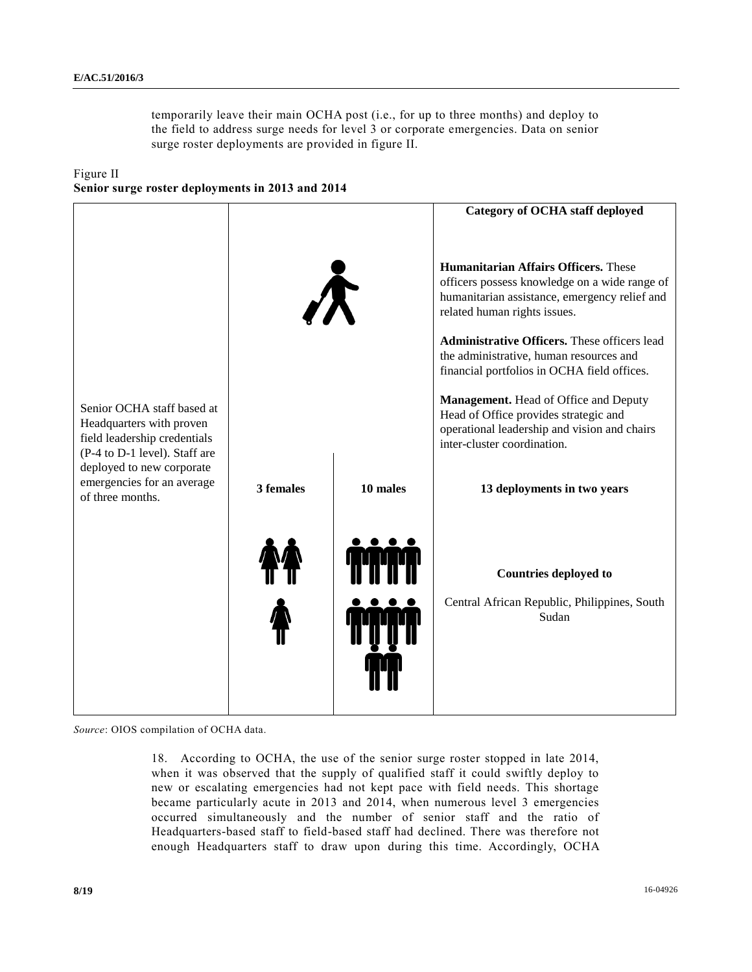temporarily leave their main OCHA post (i.e., for up to three months) and deploy to the field to address surge needs for level 3 or corporate emergencies. Data on senior surge roster deployments are provided in figure II.

Figure II **Senior surge roster deployments in 2013 and 2014**

|                                                                                                                         |           |          | <b>Category of OCHA staff deployed</b>                                                                                                                                                                                                                                                                                                                                                                                                                                                   |
|-------------------------------------------------------------------------------------------------------------------------|-----------|----------|------------------------------------------------------------------------------------------------------------------------------------------------------------------------------------------------------------------------------------------------------------------------------------------------------------------------------------------------------------------------------------------------------------------------------------------------------------------------------------------|
| Senior OCHA staff based at<br>Headquarters with proven<br>field leadership credentials<br>(P-4 to D-1 level). Staff are |           |          | <b>Humanitarian Affairs Officers.</b> These<br>officers possess knowledge on a wide range of<br>humanitarian assistance, emergency relief and<br>related human rights issues.<br>Administrative Officers. These officers lead<br>the administrative, human resources and<br>financial portfolios in OCHA field offices.<br>Management. Head of Office and Deputy<br>Head of Office provides strategic and<br>operational leadership and vision and chairs<br>inter-cluster coordination. |
| deployed to new corporate<br>emergencies for an average<br>of three months.                                             | 3 females | 10 males | 13 deployments in two years                                                                                                                                                                                                                                                                                                                                                                                                                                                              |
|                                                                                                                         |           |          | <b>Countries deployed to</b><br>Central African Republic, Philippines, South<br>Sudan                                                                                                                                                                                                                                                                                                                                                                                                    |

*Source*: OIOS compilation of OCHA data.

18. According to OCHA, the use of the senior surge roster stopped in late 2014, when it was observed that the supply of qualified staff it could swiftly deploy to new or escalating emergencies had not kept pace with field needs. This shortage became particularly acute in 2013 and 2014, when numerous level 3 emergencies occurred simultaneously and the number of senior staff and the ratio of Headquarters-based staff to field-based staff had declined. There was therefore not enough Headquarters staff to draw upon during this time. Accordingly, OCHA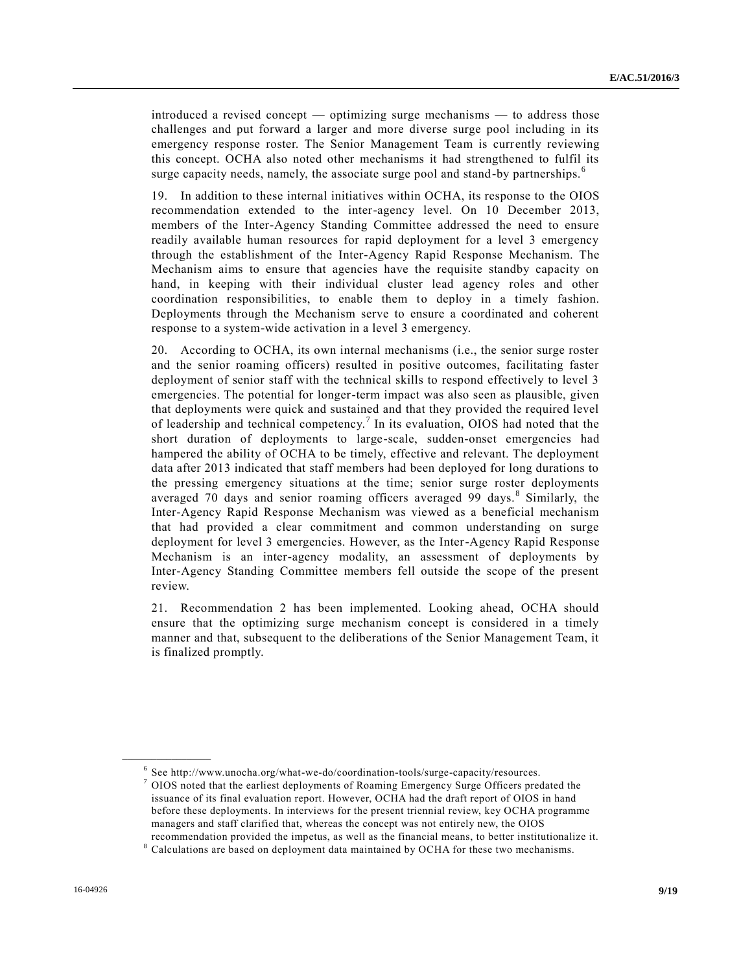introduced a revised concept — optimizing surge mechanisms — to address those challenges and put forward a larger and more diverse surge pool including in its emergency response roster. The Senior Management Team is currently reviewing this concept. OCHA also noted other mechanisms it had strengthened to fulfil its surge capacity needs, namely, the associate surge pool and stand-by partnerships.<sup>6</sup>

19. In addition to these internal initiatives within OCHA, its response to the OIOS recommendation extended to the inter-agency level. On 10 December 2013, members of the Inter-Agency Standing Committee addressed the need to ensure readily available human resources for rapid deployment for a level 3 emergency through the establishment of the Inter-Agency Rapid Response Mechanism. The Mechanism aims to ensure that agencies have the requisite standby capacity on hand, in keeping with their individual cluster lead agency roles and other coordination responsibilities, to enable them to deploy in a timely fashion. Deployments through the Mechanism serve to ensure a coordinated and coherent response to a system-wide activation in a level 3 emergency.

20. According to OCHA, its own internal mechanisms (i.e., the senior surge roster and the senior roaming officers) resulted in positive outcomes, facilitating faster deployment of senior staff with the technical skills to respond effectively to level 3 emergencies. The potential for longer-term impact was also seen as plausible, given that deployments were quick and sustained and that they provided the required level of leadership and technical competency.<sup>7</sup> In its evaluation, OIOS had noted that the short duration of deployments to large-scale, sudden-onset emergencies had hampered the ability of OCHA to be timely, effective and relevant. The deployment data after 2013 indicated that staff members had been deployed for long durations to the pressing emergency situations at the time; senior surge roster deployments averaged 70 days and senior roaming officers averaged 99 days.<sup>8</sup> Similarly, the Inter-Agency Rapid Response Mechanism was viewed as a beneficial mechanism that had provided a clear commitment and common understanding on surge deployment for level 3 emergencies. However, as the Inter-Agency Rapid Response Mechanism is an inter-agency modality, an assessment of deployments by Inter-Agency Standing Committee members fell outside the scope of the present review.

21. Recommendation 2 has been implemented. Looking ahead, OCHA should ensure that the optimizing surge mechanism concept is considered in a timely manner and that, subsequent to the deliberations of the Senior Management Team, it is finalized promptly.

<sup>&</sup>lt;sup>6</sup> See http://www.unocha.org/what-we-do/coordination-tools/surge-capacity/resources.

 $7$  OIOS noted that the earliest deployments of Roaming Emergency Surge Officers predated the issuance of its final evaluation report. However, OCHA had the draft report of OIOS in hand before these deployments. In interviews for the present triennial review, key OCHA programme managers and staff clarified that, whereas the concept was not entirely new, the OIOS recommendation provided the impetus, as well as the financial means, to better institutionalize it.

 $8$  Calculations are based on deployment data maintained by OCHA for these two mechanisms.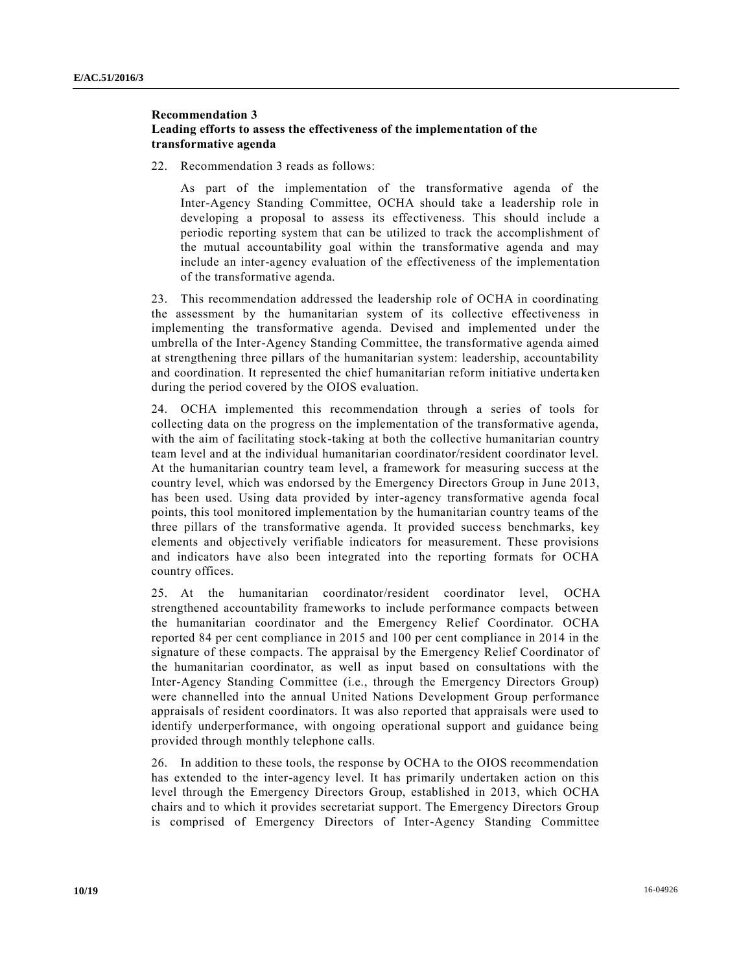## **Recommendation 3 Leading efforts to assess the effectiveness of the implementation of the transformative agenda**

22. Recommendation 3 reads as follows:

As part of the implementation of the transformative agenda of the Inter-Agency Standing Committee, OCHA should take a leadership role in developing a proposal to assess its effectiveness. This should include a periodic reporting system that can be utilized to track the accomplishment of the mutual accountability goal within the transformative agenda and may include an inter-agency evaluation of the effectiveness of the implementation of the transformative agenda.

23. This recommendation addressed the leadership role of OCHA in coordinating the assessment by the humanitarian system of its collective effectiveness in implementing the transformative agenda. Devised and implemented under the umbrella of the Inter-Agency Standing Committee, the transformative agenda aimed at strengthening three pillars of the humanitarian system: leadership, accountability and coordination. It represented the chief humanitarian reform initiative underta ken during the period covered by the OIOS evaluation.

24. OCHA implemented this recommendation through a series of tools for collecting data on the progress on the implementation of the transformative agenda, with the aim of facilitating stock-taking at both the collective humanitarian country team level and at the individual humanitarian coordinator/resident coordinator level. At the humanitarian country team level, a framework for measuring success at the country level, which was endorsed by the Emergency Directors Group in June 2013, has been used. Using data provided by inter-agency transformative agenda focal points, this tool monitored implementation by the humanitarian country teams of the three pillars of the transformative agenda. It provided success benchmarks, key elements and objectively verifiable indicators for measurement. These provisions and indicators have also been integrated into the reporting formats for OCHA country offices.

25. At the humanitarian coordinator/resident coordinator level, OCHA strengthened accountability frameworks to include performance compacts between the humanitarian coordinator and the Emergency Relief Coordinator. OCHA reported 84 per cent compliance in 2015 and 100 per cent compliance in 2014 in the signature of these compacts. The appraisal by the Emergency Relief Coordinator of the humanitarian coordinator, as well as input based on consultations with the Inter-Agency Standing Committee (i.e., through the Emergency Directors Group) were channelled into the annual United Nations Development Group performance appraisals of resident coordinators. It was also reported that appraisals were used to identify underperformance, with ongoing operational support and guidance being provided through monthly telephone calls.

26. In addition to these tools, the response by OCHA to the OIOS recommendation has extended to the inter-agency level. It has primarily undertaken action on this level through the Emergency Directors Group, established in 2013, which OCHA chairs and to which it provides secretariat support. The Emergency Directors Group is comprised of Emergency Directors of Inter-Agency Standing Committee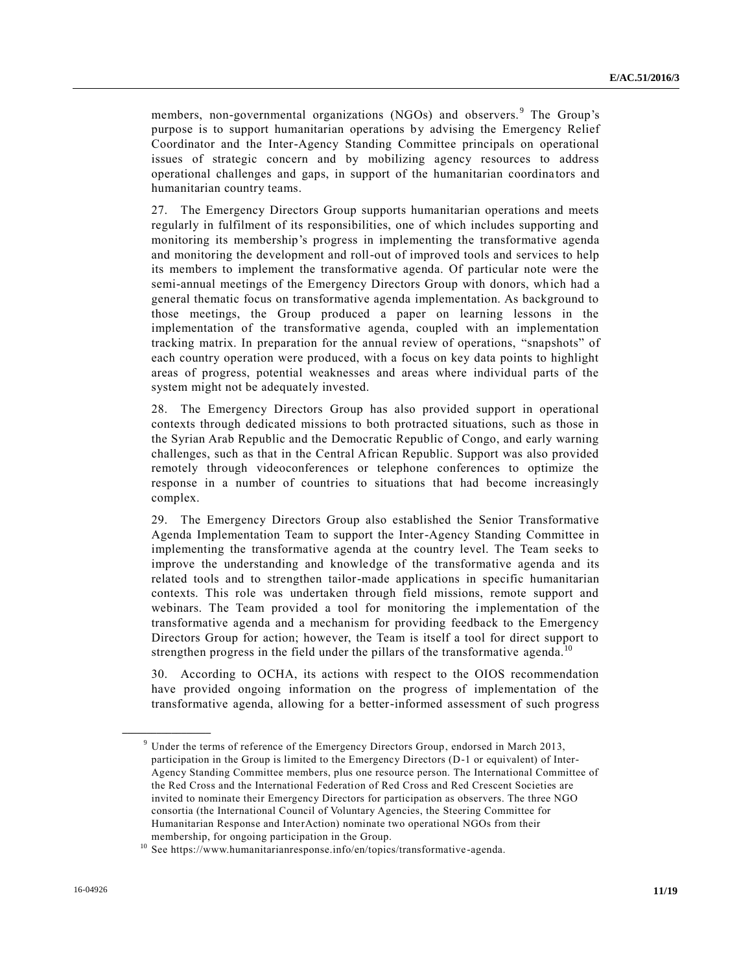members, non-governmental organizations (NGOs) and observers.<sup>9</sup> The Group's purpose is to support humanitarian operations by advising the Emergency Relief Coordinator and the Inter-Agency Standing Committee principals on operational issues of strategic concern and by mobilizing agency resources to address operational challenges and gaps, in support of the humanitarian coordina tors and humanitarian country teams.

27. The Emergency Directors Group supports humanitarian operations and meets regularly in fulfilment of its responsibilities, one of which includes supporting and monitoring its membership's progress in implementing the transformative agenda and monitoring the development and roll-out of improved tools and services to help its members to implement the transformative agenda. Of particular note were the semi-annual meetings of the Emergency Directors Group with donors, which had a general thematic focus on transformative agenda implementation. As background to those meetings, the Group produced a paper on learning lessons in the implementation of the transformative agenda, coupled with an implementation tracking matrix. In preparation for the annual review of operations, "snapshots" of each country operation were produced, with a focus on key data points to highlight areas of progress, potential weaknesses and areas where individual parts of the system might not be adequately invested.

28. The Emergency Directors Group has also provided support in operational contexts through dedicated missions to both protracted situations, such as those in the Syrian Arab Republic and the Democratic Republic of Congo, and early warning challenges, such as that in the Central African Republic. Support was also provided remotely through videoconferences or telephone conferences to optimize the response in a number of countries to situations that had become increasingly complex.

29. The Emergency Directors Group also established the Senior Transformative Agenda Implementation Team to support the Inter-Agency Standing Committee in implementing the transformative agenda at the country level. The Team seeks to improve the understanding and knowledge of the transformative agenda and its related tools and to strengthen tailor-made applications in specific humanitarian contexts. This role was undertaken through field missions, remote support and webinars. The Team provided a tool for monitoring the implementation of the transformative agenda and a mechanism for providing feedback to the Emergency Directors Group for action; however, the Team is itself a tool for direct support to strengthen progress in the field under the pillars of the transformative agenda.<sup>10</sup>

30. According to OCHA, its actions with respect to the OIOS recommendation have provided ongoing information on the progress of implementation of the transformative agenda, allowing for a better-informed assessment of such progress

<sup>&</sup>lt;sup>9</sup> Under the terms of reference of the Emergency Directors Group, endorsed in March 2013, participation in the Group is limited to the Emergency Directors (D-1 or equivalent) of Inter-Agency Standing Committee members, plus one resource person. The International Committee of the Red Cross and the International Federation of Red Cross and Red Crescent Societies are invited to nominate their Emergency Directors for participation as observers. The three NGO consortia (the International Council of Voluntary Agencies, the Steering Committee for Humanitarian Response and InterAction) nominate two operational NGOs from their membership, for ongoing participation in the Group.

<sup>10</sup> See https://www.humanitarianresponse.info/en/topics/transformative -agenda.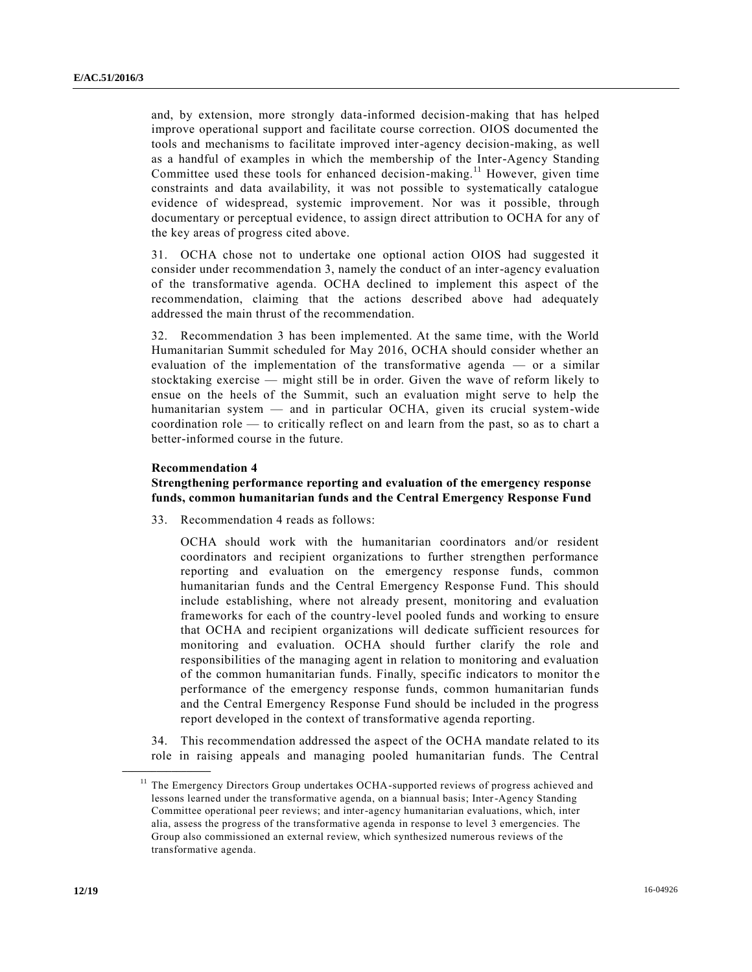and, by extension, more strongly data-informed decision-making that has helped improve operational support and facilitate course correction. OIOS documented the tools and mechanisms to facilitate improved inter-agency decision-making, as well as a handful of examples in which the membership of the Inter-Agency Standing Committee used these tools for enhanced decision-making.<sup>11</sup> However, given time constraints and data availability, it was not possible to systematically catalogue evidence of widespread, systemic improvement. Nor was it possible, through documentary or perceptual evidence, to assign direct attribution to OCHA for any of the key areas of progress cited above.

31. OCHA chose not to undertake one optional action OIOS had suggested it consider under recommendation 3, namely the conduct of an inter-agency evaluation of the transformative agenda. OCHA declined to implement this aspect of the recommendation, claiming that the actions described above had adequately addressed the main thrust of the recommendation.

32. Recommendation 3 has been implemented. At the same time, with the World Humanitarian Summit scheduled for May 2016, OCHA should consider whether an evaluation of the implementation of the transformative agenda — or a similar stocktaking exercise — might still be in order. Given the wave of reform likely to ensue on the heels of the Summit, such an evaluation might serve to help the humanitarian system — and in particular OCHA, given its crucial system-wide coordination role — to critically reflect on and learn from the past, so as to chart a better-informed course in the future.

#### **Recommendation 4**

**\_\_\_\_\_\_\_\_\_\_\_\_\_\_\_\_\_\_**

#### **Strengthening performance reporting and evaluation of the emergency response funds, common humanitarian funds and the Central Emergency Response Fund**

33. Recommendation 4 reads as follows:

OCHA should work with the humanitarian coordinators and/or resident coordinators and recipient organizations to further strengthen performance reporting and evaluation on the emergency response funds, common humanitarian funds and the Central Emergency Response Fund. This should include establishing, where not already present, monitoring and evaluation frameworks for each of the country-level pooled funds and working to ensure that OCHA and recipient organizations will dedicate sufficient resources for monitoring and evaluation. OCHA should further clarify the role and responsibilities of the managing agent in relation to monitoring and evaluation of the common humanitarian funds. Finally, specific indicators to monitor the performance of the emergency response funds, common humanitarian funds and the Central Emergency Response Fund should be included in the progress report developed in the context of transformative agenda reporting.

34. This recommendation addressed the aspect of the OCHA mandate related to its role in raising appeals and managing pooled humanitarian funds. The Central

<sup>&</sup>lt;sup>11</sup> The Emergency Directors Group undertakes OCHA-supported reviews of progress achieved and lessons learned under the transformative agenda, on a biannual basis; Inter-Agency Standing Committee operational peer reviews; and inter-agency humanitarian evaluations, which, inter alia, assess the progress of the transformative agenda in response to level 3 emergencies. The Group also commissioned an external review, which synthesized numerous reviews of the transformative agenda.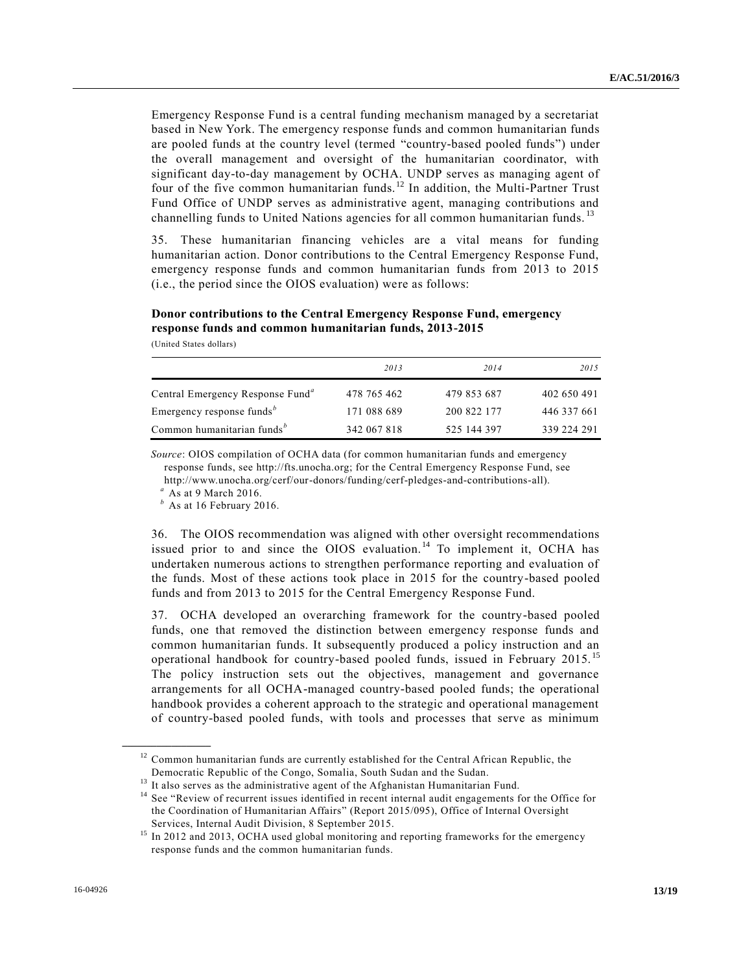Emergency Response Fund is a central funding mechanism managed by a secretariat based in New York. The emergency response funds and common humanitarian funds are pooled funds at the country level (termed "country-based pooled funds") under the overall management and oversight of the humanitarian coordinator, with significant day-to-day management by OCHA. UNDP serves as managing agent of four of the five common humanitarian funds. <sup>12</sup> In addition, the Multi-Partner Trust Fund Office of UNDP serves as administrative agent, managing contributions and channelling funds to United Nations agencies for all common humanitarian funds.<sup>13</sup>

35. These humanitarian financing vehicles are a vital means for funding humanitarian action. Donor contributions to the Central Emergency Response Fund, emergency response funds and common humanitarian funds from 2013 to 2015 (i.e., the period since the OIOS evaluation) were as follows:

## **Donor contributions to the Central Emergency Response Fund, emergency response funds and common humanitarian funds, 2013-2015**

(United States dollars)

|                                                    | 2013        | 2014        | 2015        |
|----------------------------------------------------|-------------|-------------|-------------|
| Central Emergency Response Fund <sup>a</sup>       | 478 765 462 | 479 853 687 | 402 650 491 |
| Emergency response funds <sup><math>b</math></sup> | 171 088 689 | 200 822 177 | 446 337 661 |
| Common humanitarian funds <sup>b</sup>             | 342 067 818 | 525 144 397 | 339 224 291 |

*Source*: OIOS compilation of OCHA data (for common humanitarian funds and emergency response funds, see http://fts.unocha.org; for the Central Emergency Response Fund, see http://www.unocha.org/cerf/our-donors/funding/cerf-pledges-and-contributions-all).

*<sup>a</sup>* As at 9 March 2016.

**\_\_\_\_\_\_\_\_\_\_\_\_\_\_\_\_\_\_**

*<sup>b</sup>* As at 16 February 2016.

36. The OIOS recommendation was aligned with other oversight recommendations issued prior to and since the OIOS evaluation.<sup>14</sup> To implement it, OCHA has undertaken numerous actions to strengthen performance reporting and evaluation of the funds. Most of these actions took place in 2015 for the country-based pooled funds and from 2013 to 2015 for the Central Emergency Response Fund.

37. OCHA developed an overarching framework for the country-based pooled funds, one that removed the distinction between emergency response funds and common humanitarian funds. It subsequently produced a policy instruction and an operational handbook for country-based pooled funds, issued in February 2015. <sup>15</sup> The policy instruction sets out the objectives, management and governance arrangements for all OCHA-managed country-based pooled funds; the operational handbook provides a coherent approach to the strategic and operational management of country-based pooled funds, with tools and processes that serve as minimum

<sup>&</sup>lt;sup>12</sup> Common humanitarian funds are currently established for the Central African Republic, the Democratic Republic of the Congo, Somalia, South Sudan and the Sudan.

<sup>&</sup>lt;sup>13</sup> It also serves as the administrative agent of the Afghanistan Humanitarian Fund.

<sup>&</sup>lt;sup>14</sup> See "Review of recurrent issues identified in recent internal audit engagements for the Office for the Coordination of Humanitarian Affairs" (Report 2015/095), Office of Internal Oversight Services, Internal Audit Division, 8 September 2015.

<sup>&</sup>lt;sup>15</sup> In 2012 and 2013, OCHA used global monitoring and reporting frameworks for the emergency response funds and the common humanitarian funds.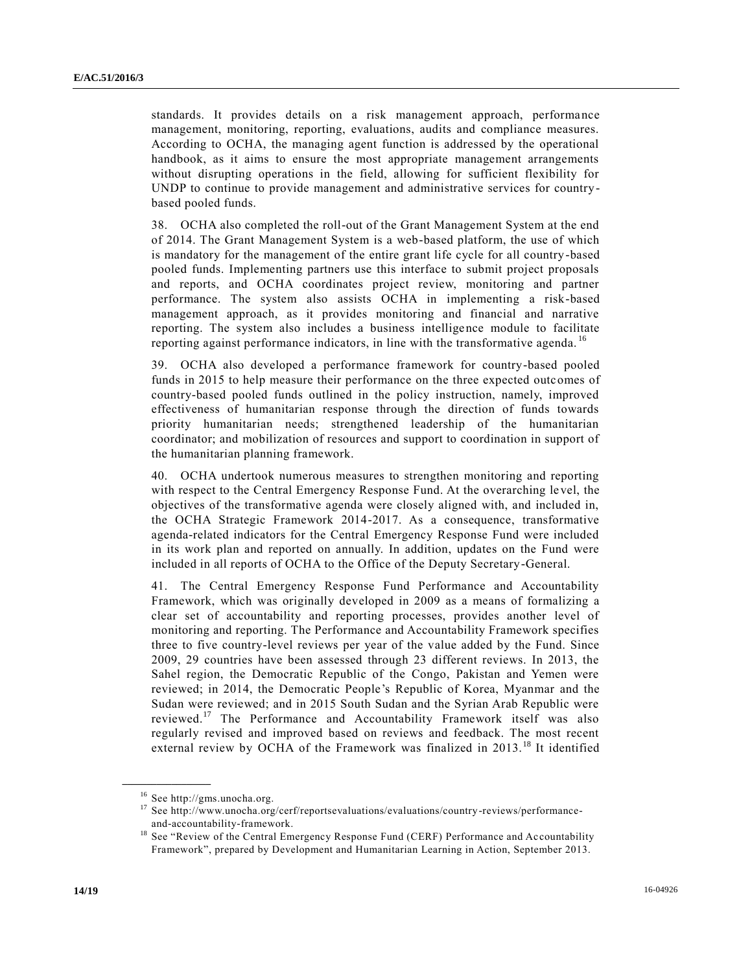standards. It provides details on a risk management approach, performance management, monitoring, reporting, evaluations, audits and compliance measures. According to OCHA, the managing agent function is addressed by the operational handbook, as it aims to ensure the most appropriate management arrangements without disrupting operations in the field, allowing for sufficient flexibility for UNDP to continue to provide management and administrative services for countrybased pooled funds.

38. OCHA also completed the roll-out of the Grant Management System at the end of 2014. The Grant Management System is a web-based platform, the use of which is mandatory for the management of the entire grant life cycle for all country -based pooled funds. Implementing partners use this interface to submit project proposals and reports, and OCHA coordinates project review, monitoring and partner performance. The system also assists OCHA in implementing a risk-based management approach, as it provides monitoring and financial and narrative reporting. The system also includes a business intelligence module to facilitate reporting against performance indicators, in line with the transformative agenda. <sup>16</sup>

39. OCHA also developed a performance framework for country-based pooled funds in 2015 to help measure their performance on the three expected outcomes of country-based pooled funds outlined in the policy instruction, namely, improved effectiveness of humanitarian response through the direction of funds towards priority humanitarian needs; strengthened leadership of the humanitarian coordinator; and mobilization of resources and support to coordination in support of the humanitarian planning framework.

40. OCHA undertook numerous measures to strengthen monitoring and reporting with respect to the Central Emergency Response Fund. At the overarching le vel, the objectives of the transformative agenda were closely aligned with, and included in, the OCHA Strategic Framework 2014-2017. As a consequence, transformative agenda-related indicators for the Central Emergency Response Fund were included in its work plan and reported on annually. In addition, updates on the Fund were included in all reports of OCHA to the Office of the Deputy Secretary-General.

41. The Central Emergency Response Fund Performance and Accountability Framework, which was originally developed in 2009 as a means of formalizing a clear set of accountability and reporting processes, provides another level of monitoring and reporting. The Performance and Accountability Framework specifies three to five country-level reviews per year of the value added by the Fund. Since 2009, 29 countries have been assessed through 23 different reviews. In 2013, the Sahel region, the Democratic Republic of the Congo, Pakistan and Yemen were reviewed; in 2014, the Democratic People's Republic of Korea, Myanmar and the Sudan were reviewed; and in 2015 South Sudan and the Syrian Arab Republic were reviewed.<sup>17</sup> The Performance and Accountability Framework itself was also regularly revised and improved based on reviews and feedback. The most recent external review by OCHA of the Framework was finalized in 2013.<sup>18</sup> It identified

<sup>16</sup> See http://gms.unocha.org.

<sup>17</sup> See http://www.unocha.org/cerf/reportsevaluations/evaluations/country-reviews/performanceand-accountability-framework.

<sup>&</sup>lt;sup>18</sup> See "Review of the Central Emergency Response Fund (CERF) Performance and Accountability Framework", prepared by Development and Humanitarian Learning in Action, September 2013.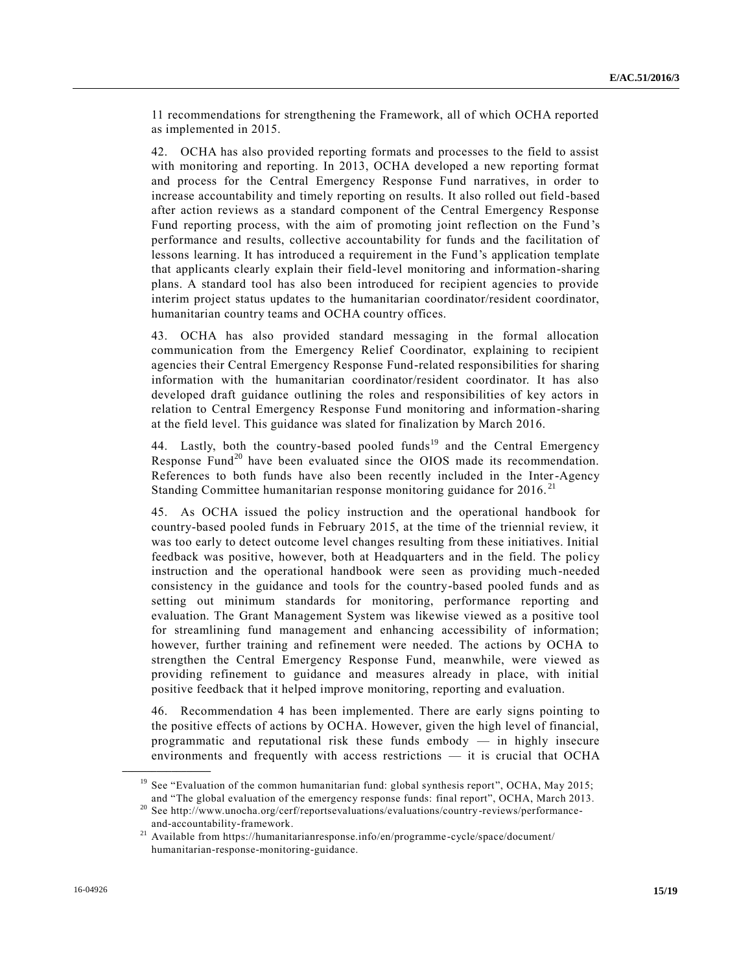11 recommendations for strengthening the Framework, all of which OCHA reported as implemented in 2015.

42. OCHA has also provided reporting formats and processes to the field to assist with monitoring and reporting. In 2013, OCHA developed a new reporting format and process for the Central Emergency Response Fund narratives, in order to increase accountability and timely reporting on results. It also rolled out field -based after action reviews as a standard component of the Central Emergency Response Fund reporting process, with the aim of promoting joint reflection on the Fund 's performance and results, collective accountability for funds and the facilitation of lessons learning. It has introduced a requirement in the Fund's application template that applicants clearly explain their field-level monitoring and information-sharing plans. A standard tool has also been introduced for recipient agencies to provide interim project status updates to the humanitarian coordinator/resident coordinator, humanitarian country teams and OCHA country offices.

43. OCHA has also provided standard messaging in the formal allocation communication from the Emergency Relief Coordinator, explaining to recipient agencies their Central Emergency Response Fund-related responsibilities for sharing information with the humanitarian coordinator/resident coordinator. It has also developed draft guidance outlining the roles and responsibilities of key actors in relation to Central Emergency Response Fund monitoring and information-sharing at the field level. This guidance was slated for finalization by March 2016.

44. Lastly, both the country-based pooled funds<sup>19</sup> and the Central Emergency Response Fund<sup>20</sup> have been evaluated since the OIOS made its recommendation. References to both funds have also been recently included in the Inter-Agency Standing Committee humanitarian response monitoring guidance for 2016.<sup>21</sup>

45. As OCHA issued the policy instruction and the operational handbook for country-based pooled funds in February 2015, at the time of the triennial review, it was too early to detect outcome level changes resulting from these initiatives. Initial feedback was positive, however, both at Headquarters and in the field. The policy instruction and the operational handbook were seen as providing much -needed consistency in the guidance and tools for the country-based pooled funds and as setting out minimum standards for monitoring, performance reporting and evaluation. The Grant Management System was likewise viewed as a positive tool for streamlining fund management and enhancing accessibility of information; however, further training and refinement were needed. The actions by OCHA to strengthen the Central Emergency Response Fund, meanwhile, were viewed as providing refinement to guidance and measures already in place, with initial positive feedback that it helped improve monitoring, reporting and evaluation.

46. Recommendation 4 has been implemented. There are early signs pointing to the positive effects of actions by OCHA. However, given the high level of financial, programmatic and reputational risk these funds embody — in highly insecure environments and frequently with access restrictions — it is crucial that OCHA

<sup>&</sup>lt;sup>19</sup> See "Evaluation of the common humanitarian fund: global synthesis report", OCHA, May 2015; and "The global evaluation of the emergency response funds: final report", OCHA, March 2013.

<sup>&</sup>lt;sup>20</sup> See http://www.unocha.org/cerf/reportsevaluations/evaluations/country-reviews/performanceand-accountability-framework.

<sup>21</sup> Available from https://humanitarianresponse.info/en/programme -cycle/space/document/ humanitarian-response-monitoring-guidance.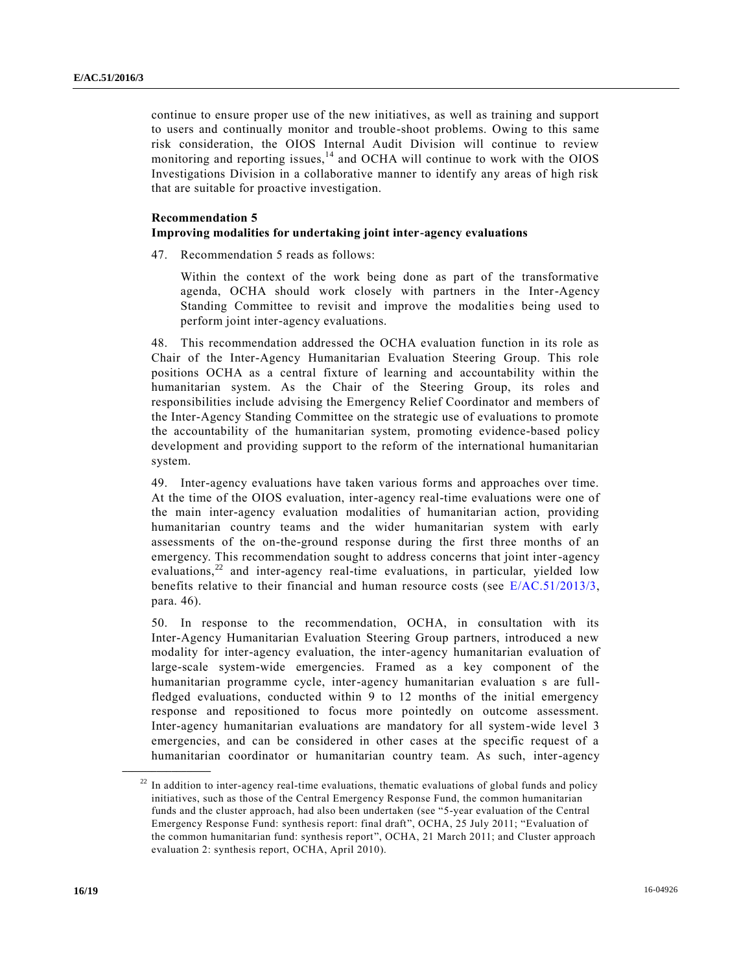continue to ensure proper use of the new initiatives, as well as training and support to users and continually monitor and trouble-shoot problems. Owing to this same risk consideration, the OIOS Internal Audit Division will continue to review monitoring and reporting issues,  $^{14}$  and OCHA will continue to work with the OIOS Investigations Division in a collaborative manner to identify any areas of high risk that are suitable for proactive investigation.

#### **Recommendation 5**

#### **Improving modalities for undertaking joint inter-agency evaluations**

47. Recommendation 5 reads as follows:

Within the context of the work being done as part of the transformative agenda, OCHA should work closely with partners in the Inter-Agency Standing Committee to revisit and improve the modalities being used to perform joint inter-agency evaluations.

48. This recommendation addressed the OCHA evaluation function in its role as Chair of the Inter-Agency Humanitarian Evaluation Steering Group. This role positions OCHA as a central fixture of learning and accountability within the humanitarian system. As the Chair of the Steering Group, its roles and responsibilities include advising the Emergency Relief Coordinator and members of the Inter-Agency Standing Committee on the strategic use of evaluations to promote the accountability of the humanitarian system, promoting evidence-based policy development and providing support to the reform of the international humanitarian system.

49. Inter-agency evaluations have taken various forms and approaches over time. At the time of the OIOS evaluation, inter-agency real-time evaluations were one of the main inter-agency evaluation modalities of humanitarian action, providing humanitarian country teams and the wider humanitarian system with early assessments of the on-the-ground response during the first three months of an emergency. This recommendation sought to address concerns that joint inter-agency evaluations, $22$  and inter-agency real-time evaluations, in particular, yielded low benefits relative to their financial and human resource costs (see [E/AC.51/2013/3,](http://undocs.org/E/AC.51/2013/3) para. 46).

50. In response to the recommendation, OCHA, in consultation with its Inter-Agency Humanitarian Evaluation Steering Group partners, introduced a new modality for inter-agency evaluation, the inter-agency humanitarian evaluation of large-scale system-wide emergencies. Framed as a key component of the humanitarian programme cycle, inter-agency humanitarian evaluation s are fullfledged evaluations, conducted within 9 to 12 months of the initial emergency response and repositioned to focus more pointedly on outcome assessment. Inter-agency humanitarian evaluations are mandatory for all system-wide level 3 emergencies, and can be considered in other cases at the specific request of a humanitarian coordinator or humanitarian country team. As such, inter-agency

 $22$  In addition to inter-agency real-time evaluations, thematic evaluations of global funds and policy initiatives, such as those of the Central Emergency Response Fund, the common humanitarian funds and the cluster approach, had also been undertaken (see "5-year evaluation of the Central Emergency Response Fund: synthesis report: final draft", OCHA, 25 July 2011; "Evaluation of the common humanitarian fund: synthesis report", OCHA, 21 March 2011; and Cluster approach evaluation 2: synthesis report, OCHA, April 2010).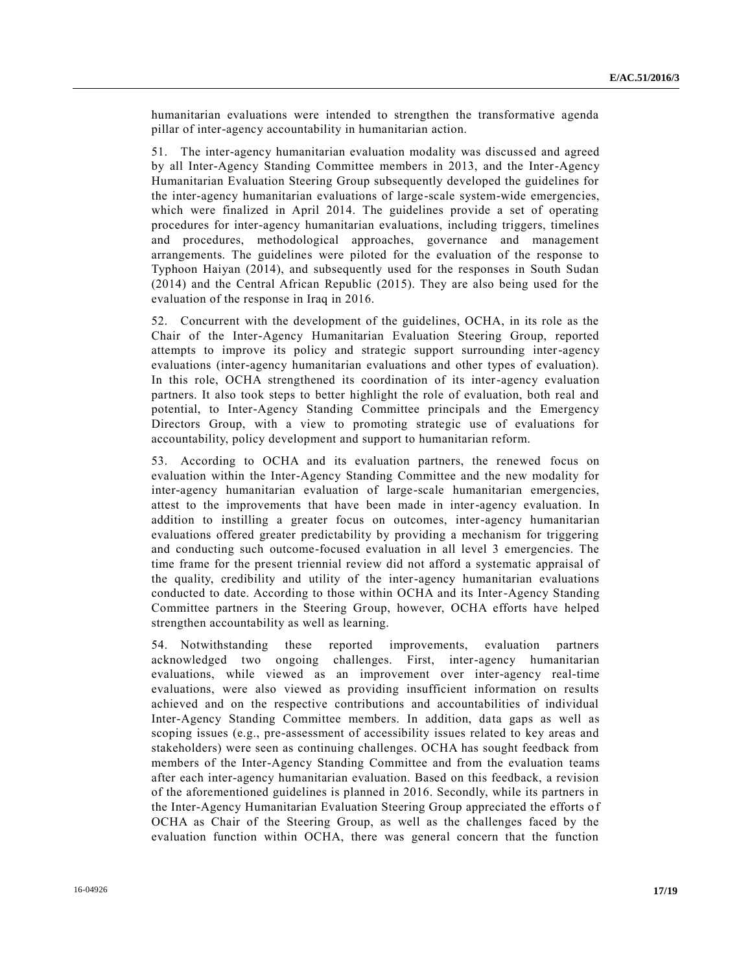humanitarian evaluations were intended to strengthen the transformative agenda pillar of inter-agency accountability in humanitarian action.

51. The inter-agency humanitarian evaluation modality was discussed and agreed by all Inter-Agency Standing Committee members in 2013, and the Inter-Agency Humanitarian Evaluation Steering Group subsequently developed the guidelines for the inter-agency humanitarian evaluations of large-scale system-wide emergencies, which were finalized in April 2014. The guidelines provide a set of operating procedures for inter-agency humanitarian evaluations, including triggers, timelines and procedures, methodological approaches, governance and management arrangements. The guidelines were piloted for the evaluation of the response to Typhoon Haiyan (2014), and subsequently used for the responses in South Sudan (2014) and the Central African Republic (2015). They are also being used for the evaluation of the response in Iraq in 2016.

52. Concurrent with the development of the guidelines, OCHA, in its role as the Chair of the Inter-Agency Humanitarian Evaluation Steering Group, reported attempts to improve its policy and strategic support surrounding inter-agency evaluations (inter-agency humanitarian evaluations and other types of evaluation). In this role, OCHA strengthened its coordination of its inter-agency evaluation partners. It also took steps to better highlight the role of evaluation, both real and potential, to Inter-Agency Standing Committee principals and the Emergency Directors Group, with a view to promoting strategic use of evaluations for accountability, policy development and support to humanitarian reform.

53. According to OCHA and its evaluation partners, the renewed focus on evaluation within the Inter-Agency Standing Committee and the new modality for inter-agency humanitarian evaluation of large-scale humanitarian emergencies, attest to the improvements that have been made in inter-agency evaluation. In addition to instilling a greater focus on outcomes, inter-agency humanitarian evaluations offered greater predictability by providing a mechanism for triggering and conducting such outcome-focused evaluation in all level 3 emergencies. The time frame for the present triennial review did not afford a systematic appraisal of the quality, credibility and utility of the inter-agency humanitarian evaluations conducted to date. According to those within OCHA and its Inter-Agency Standing Committee partners in the Steering Group, however, OCHA efforts have helped strengthen accountability as well as learning.

54. Notwithstanding these reported improvements, evaluation partners acknowledged two ongoing challenges. First, inter-agency humanitarian evaluations, while viewed as an improvement over inter-agency real-time evaluations, were also viewed as providing insufficient information on results achieved and on the respective contributions and accountabilities of individual Inter-Agency Standing Committee members. In addition, data gaps as well as scoping issues (e.g., pre-assessment of accessibility issues related to key areas and stakeholders) were seen as continuing challenges. OCHA has sought feedback from members of the Inter-Agency Standing Committee and from the evaluation teams after each inter-agency humanitarian evaluation. Based on this feedback, a revision of the aforementioned guidelines is planned in 2016. Secondly, while its partners in the Inter-Agency Humanitarian Evaluation Steering Group appreciated the efforts o f OCHA as Chair of the Steering Group, as well as the challenges faced by the evaluation function within OCHA, there was general concern that the function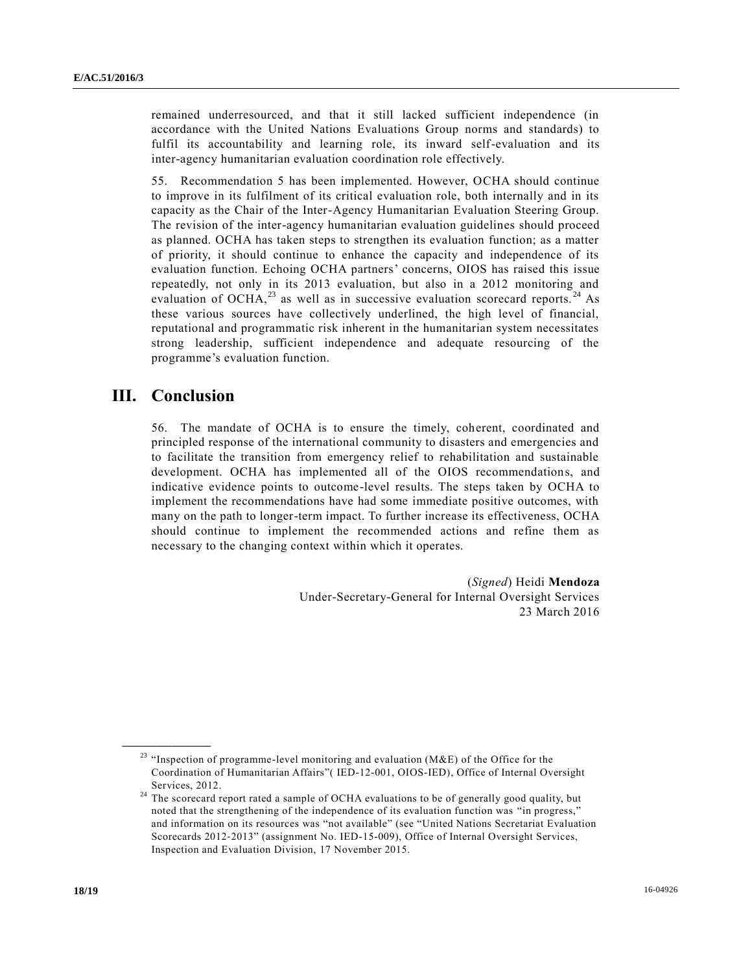remained underresourced, and that it still lacked sufficient independence (in accordance with the United Nations Evaluations Group norms and standards) to fulfil its accountability and learning role, its inward self-evaluation and its inter-agency humanitarian evaluation coordination role effectively.

55. Recommendation 5 has been implemented. However, OCHA should continue to improve in its fulfilment of its critical evaluation role, both internally and in its capacity as the Chair of the Inter-Agency Humanitarian Evaluation Steering Group. The revision of the inter-agency humanitarian evaluation guidelines should proceed as planned. OCHA has taken steps to strengthen its evaluation function; as a matter of priority, it should continue to enhance the capacity and independence of its evaluation function. Echoing OCHA partners' concerns, OIOS has raised this issue repeatedly, not only in its 2013 evaluation, but also in a 2012 monitoring and evaluation of OCHA,<sup>23</sup> as well as in successive evaluation scorecard reports.<sup>24</sup> As these various sources have collectively underlined, the high level of financial, reputational and programmatic risk inherent in the humanitarian system necessitates strong leadership, sufficient independence and adequate resourcing of the programme's evaluation function.

## **III. Conclusion**

**\_\_\_\_\_\_\_\_\_\_\_\_\_\_\_\_\_\_**

56. The mandate of OCHA is to ensure the timely, coherent, coordinated and principled response of the international community to disasters and emergencies and to facilitate the transition from emergency relief to rehabilitation and sustainable development. OCHA has implemented all of the OIOS recommendations, and indicative evidence points to outcome-level results. The steps taken by OCHA to implement the recommendations have had some immediate positive outcomes, with many on the path to longer-term impact. To further increase its effectiveness, OCHA should continue to implement the recommended actions and refine them as necessary to the changing context within which it operates.

> (*Signed*) Heidi **Mendoza** Under-Secretary-General for Internal Oversight Services 23 March 2016

<sup>&</sup>lt;sup>23</sup> "Inspection of programme-level monitoring and evaluation ( $M\&E$ ) of the Office for the Coordination of Humanitarian Affairs"( IED-12-001, OIOS-IED), Office of Internal Oversight Services, 2012.

<sup>&</sup>lt;sup>24</sup> The scorecard report rated a sample of OCHA evaluations to be of generally good quality, but noted that the strengthening of the independence of its evaluation function was "in progress," and information on its resources was "not available" (see "United Nations Secretariat Evaluation Scorecards 2012‐2013" (assignment No. IED-15-009), Office of Internal Oversight Services, Inspection and Evaluation Division, 17 November 2015.